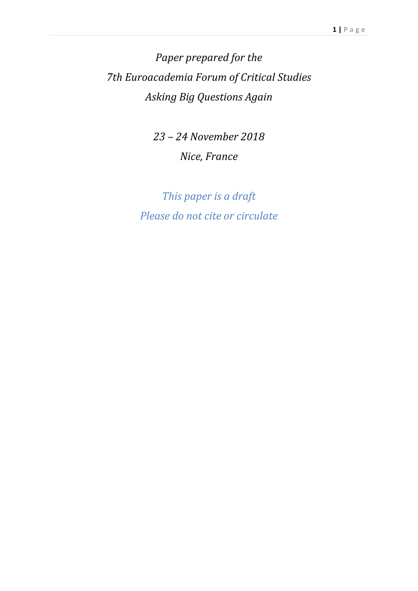*Paper prepared for the 7th Euroacademia Forum of Critical Studies Asking Big Questions Again*

> *23 – 24 November 2018 Nice, France*

*This paper is a draft Please do not cite or circulate*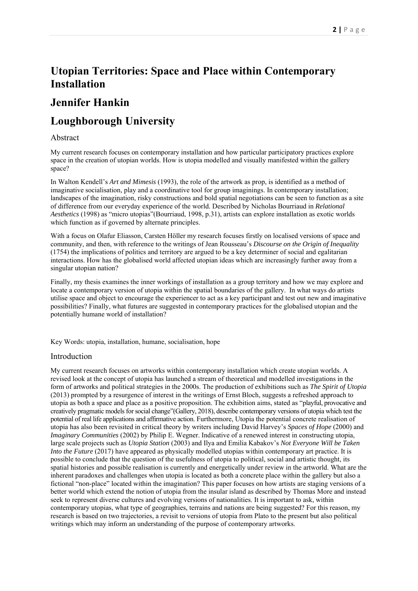# **Utopian Territories: Space and Place within Contemporary Installation**

# **Jennifer Hankin**

# **Loughborough University**

### Abstract

My current research focuses on contemporary installation and how particular participatory practices explore space in the creation of utopian worlds. How is utopia modelled and visually manifested within the gallery space?

In Walton Kendell's *Art and Mimesis* (1993), the role of the artwork as prop, is identified as a method of imaginative socialisation, play and a coordinative tool for group imaginings. In contemporary installation; landscapes of the imagination, risky constructions and bold spatial negotiations can be seen to function as a site of difference from our everyday experience of the world. Described by Nicholas Bourriaud in *Relational Aesthetics* (1998) as "micro utopias"(Bourriaud, 1998, p.31), artists can explore installation as exotic worlds which function as if governed by alternate principles.

With a focus on Olafur Eliasson, Carsten Höller my research focuses firstly on localised versions of space and community, and then, with reference to the writings of Jean Rousseau's *Discourse on the Origin of Inequality* (1754) the implications of politics and territory are argued to be a key determiner of social and egalitarian interactions. How has the globalised world affected utopian ideas which are increasingly further away from a singular utopian nation?

Finally, my thesis examines the inner workings of installation as a group territory and how we may explore and locate a contemporary version of utopia within the spatial boundaries of the gallery. In what ways do artists utilise space and object to encourage the experiencer to act as a key participant and test out new and imaginative possibilities? Finally, what futures are suggested in contemporary practices for the globalised utopian and the potentially humane world of installation?

Key Words: utopia, installation, humane, socialisation, hope

#### Introduction

My current research focuses on artworks within contemporary installation which create utopian worlds. A revised look at the concept of utopia has launched a stream of theoretical and modelled investigations in the form of artworks and political strategies in the 2000s. The production of exhibitions such as *The Spirit of Utopia* (2013) prompted by a resurgence of interest in the writings of Ernst Bloch, suggests a refreshed approach to utopia as both a space and place as a positive proposition. The exhibition aims, stated as "playful, provocative and creatively pragmatic models for social change"(Gallery, 2018), describe contemporary versions of utopia which test the potential of real life applications and affirmative action. Furthermore, Utopia the potential concrete realisation of utopia has also been revisited in critical theory by writers including David Harvey's *Spaces of Hope* (2000) and *Imaginary Communities (2002)* by Philip E. Wegner. Indicative of a renewed interest in constructing utopia, large scale projects such as *Utopia Station* (2003) and Ilya and Emilia Kabakov's *Not Everyone Will be Taken Into the Future* (2017) have appeared as physically modelled utopias within contemporary art practice. It is possible to conclude that the question of the usefulness of utopia to political, social and artistic thought, its spatial histories and possible realisation is currently and energetically under review in the artworld. What are the inherent paradoxes and challenges when utopia is located as both a concrete place within the gallery but also a fictional "non-place" located within the imagination? This paper focuses on how artists are staging versions of a better world which extend the notion of utopia from the insular island as described by Thomas More and instead seek to represent diverse cultures and evolving versions of nationalities. It is important to ask, within contemporary utopias, what type of geographies, terrains and nations are being suggested? For this reason, my research is based on two trajectories, a revisit to versions of utopia from Plato to the present but also political writings which may inform an understanding of the purpose of contemporary artworks.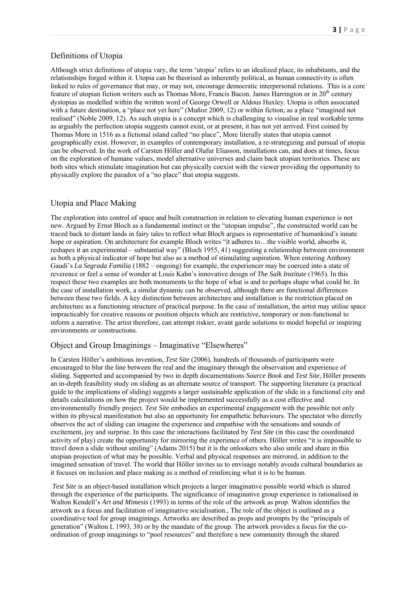#### Definitions of Utopia

Although strict definitions of utopia vary, the term 'utopia' refers to an idealized place, its inhabitants, and the relationships forged within it. Utopia can be theorised as inherently political, as human connectivity is often linked to rules of governance that may, or may not, encourage democratic interpersonal relations. This is a core feature of utopian fiction writers such as Thomas More, Francis Bacon. James Harrington or in  $20<sup>th</sup>$  century dystopias as modelled within the written word of George Orwell or Aldous Huxley. Utopia is often associated with a future destination, a "place not yet here" (Muñoz 2009, 12) or within fiction, as a place "imagined not realised" (Noble 2009, 12). As such utopia is a concept which is challenging to visualise in real workable terms as arguably the perfection utopia suggests cannot exist, or at present, it has not yet arrived. First coined by Thomas More in 1516 as a fictional island called "no place", More literally states that utopia cannot geographically exist. However, in examples of contemporary installation, a re-strategizing and pursual of utopia can be observed. In the work of Carsten Höller and Olafur Eliasson, installations can, and does at times, focus on the exploration of humane values, model alternative universes and claim back utopian territories. These are both sites which stimulate imagination but can physically coexist with the viewer providing the opportunity to physically explore the paradox of a "no place" that utopia suggests.

#### Utopia and Place Making

The exploration into control of space and built construction in relation to elevating human experience is not new. Argued by Ernst Bloch as a fundamental instinct or the "utopian impulse", the constructed world can be traced back to distant lands in fairy tales to reflect what Bloch argues is representative of humankind's innate hope or aspiration. On architecture for example Bloch writes "it adheres to...the visible world, absorbs it, reshapes it an experimental – substantial way" (Bloch 1955, 41) suggesting a relationship between environment as both a physical indicator of hope but also as a method of stimulating aspiration. When entering Anthony Gaudi's *La Segrada Familia* (1882 – ongoing) for example, the experiencer may be coerced into a state of reverence or feel a sense of wonder at Louis Kahn's innovative design of *The Salk Institute* (1965). In this respect these two examples are both monuments to the hope of what is and to perhaps shape what could be. In the case of installation work, a similar dynamic can be observed, although there are functional differences between these two fields. A key distinction between architecture and installation is the restriction placed on architecture as a functioning structure of practical purpose. In the case of installation, the artist may utilise space impracticably for creative reasons or position objects which are restrictive, temporary or non-functional to inform a narrative. The artist therefore, can attempt riskier, avant garde solutions to model hopeful or inspiring environments or constructions.

#### Object and Group Imaginings – Imaginative "Elsewheres"

In Carsten Höller's ambitious invention, *Test Site* (2006), hundreds of thousands of participants were encouraged to blur the line between the real and the imaginary through the observation and experience of sliding. Supported and accompanied by two in depth documentations *Source Book* and *Test Site*, Höller presents an in-depth feasibility study on sliding as an alternate source of transport. The supporting literature (a practical guide to the implications of sliding) suggests a larger sustainable application of the slide in a functional city and details calculations on how the project would be implemented successfully as a cost effective and environmentally friendly project. *Test Site* embodies an experimental engagement with the possible not only within its physical manifestation but also an opportunity for empathetic behaviours. The spectator who directly observes the act of sliding can imagine the experience and empathise with the sensations and sounds of excitement, joy and surprise. In this case the interactions facilitated by *Test Site* (in this case the coordinated activity of play) create the opportunity for mirroring the experience of others. Höller writes "it is impossible to travel down a slide without smiling" (Adams 2015) but it is the onlookers who also smile and share in this utopian projection of what may be possible. Verbal and physical responses are mirrored, in addition to the imagined sensation of travel. The world that Höller invites us to envisage notably avoids cultural boundaries as it focuses on inclusion and place making as a method of reinforcing what it is to be human.

*Test Site* is an object-based installation which projects a larger imaginative possible world which is shared through the experience of the participants. The significance of imaginative group experience is rationalised in Walton Kendell's *Art and Mimesis* (1993) in terms of the role of the artwork as prop. Walton identifies the artwork as a focus and facilitation of imaginative socialisation., The role of the object is outlined as a coordinative tool for group imaginings. Artworks are described as props and prompts by the "principals of generation" (Walton L 1993, 38) or by the mandate of the group. The artwork provides a focus for the coordination of group imaginings to "pool resources" and therefore a new community through the shared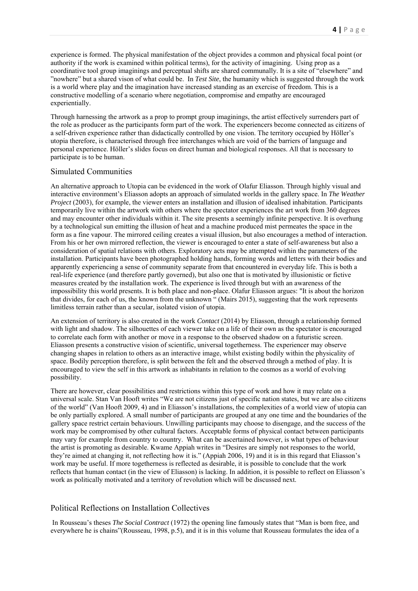experience is formed. The physical manifestation of the object provides a common and physical focal point (or authority if the work is examined within political terms), for the activity of imagining. Using prop as a coordinative tool group imaginings and perceptual shifts are shared communally. It is a site of "elsewhere" and "nowhere" but a shared vison of what could be. In *Test Site*, the humanity which is suggested through the work is a world where play and the imagination have increased standing as an exercise of freedom. This is a constructive modelling of a scenario where negotiation, compromise and empathy are encouraged experientially.

Through harnessing the artwork as a prop to prompt group imaginings, the artist effectively surrenders part of the role as producer as the participants form part of the work. The experiencers become connected as citizens of a self-driven experience rather than didactically controlled by one vision. The territory occupied by Höller's utopia therefore, is characterised through free interchanges which are void of the barriers of language and personal experience. Höller's slides focus on direct human and biological responses. All that is necessary to participate is to be human.

#### Simulated Communities

An alternative approach to Utopia can be evidenced in the work of Olafur Eliasson. Through highly visual and interactive environment's Eliasson adopts an approach of simulated worlds in the gallery space. In *The Weather Project* (2003), for example, the viewer enters an installation and illusion of idealised inhabitation. Participants temporarily live within the artwork with others where the spectator experiences the art work from 360 degrees and may encounter other individuals within it. The site presents a seemingly infinite perspective. It is overhung by a technological sun emitting the illusion of heat and a machine produced mist permeates the space in the form as a fine vapour. The mirrored ceiling creates a visual illusion, but also encourages a method of interaction. From his or her own mirrored reflection, the viewer is encouraged to enter a state of self-awareness but also a consideration of spatial relations with others. Exploratory acts may be attempted within the parameters of the installation. Participants have been photographed holding hands, forming words and letters with their bodies and apparently experiencing a sense of community separate from that encountered in everyday life. This is both a real-life experience (and therefore partly governed), but also one that is motivated by illusionistic or fictive measures created by the installation work. The experience is lived through but with an awareness of the impossibility this world presents. It is both place and non-place. Olafur Eliasson argues: "It is about the horizon that divides, for each of us, the known from the unknown " (Mairs 2015), suggesting that the work represents limitless terrain rather than a secular, isolated vision of utopia.

An extension of territory is also created in the work *Contact* (2014) by Eliasson, through a relationship formed with light and shadow. The silhouettes of each viewer take on a life of their own as the spectator is encouraged to correlate each form with another or move in a response to the observed shadow on a futuristic screen. Eliasson presents a constructive vision of scientific, universal togetherness. The experiencer may observe changing shapes in relation to others as an interactive image, whilst existing bodily within the physicality of space. Bodily perception therefore, is split between the felt and the observed through a method of play. It is encouraged to view the self in this artwork as inhabitants in relation to the cosmos as a world of evolving possibility.

There are however, clear possibilities and restrictions within this type of work and how it may relate on a universal scale. Stan Van Hooft writes "We are not citizens just of specific nation states, but we are also citizens of the world" (Van Hooft 2009, 4) and in Eliasson's installations, the complexities of a world view of utopia can be only partially explored. A small number of participants are grouped at any one time and the boundaries of the gallery space restrict certain behaviours. Unwilling participants may choose to disengage, and the success of the work may be compromised by other cultural factors. Acceptable forms of physical contact between participants may vary for example from country to country. What can be ascertained however, is what types of behaviour the artist is promoting as desirable. Kwame Appiah writes in "Desires are simply not responses to the world, they're aimed at changing it, not reflecting how it is." (Appiah 2006, 19) and it is in this regard that Eliasson's work may be useful. If more togetherness is reflected as desirable, it is possible to conclude that the work reflects that human contact (in the view of Eliasson) is lacking. In addition, it is possible to reflect on Eliasson's work as politically motivated and a territory of revolution which will be discussed next.

### Political Reflections on Installation Collectives

 In Rousseau's theses *The Social Contract* (1972) the opening line famously states that "Man is born free, and everywhere he is chains"(Rousseau, 1998, p.5), and it is in this volume that Rousseau formulates the idea of a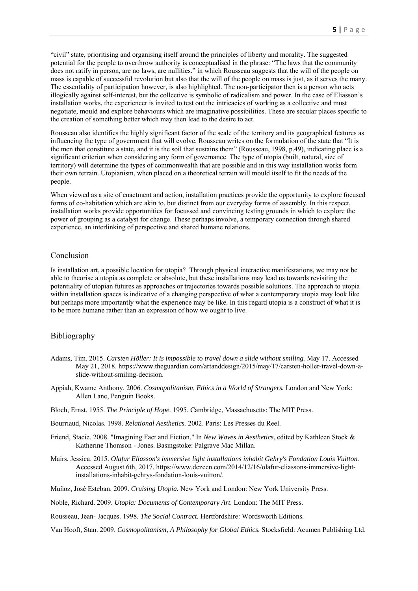"civil" state, prioritising and organising itself around the principles of liberty and morality. The suggested potential for the people to overthrow authority is conceptualised in the phrase: "The laws that the community does not ratify in person, are no laws, are nullities." in which Rousseau suggests that the will of the people on mass is capable of successful revolution but also that the will of the people on mass is just, as it serves the many. The essentiality of participation however, is also highlighted. The non-participator then is a person who acts illogically against self-interest, but the collective is symbolic of radicalism and power. In the case of Eliasson's installation works, the experiencer is invited to test out the intricacies of working as a collective and must negotiate, mould and explore behaviours which are imaginative possibilities. These are secular places specific to the creation of something better which may then lead to the desire to act.

Rousseau also identifies the highly significant factor of the scale of the territory and its geographical features as influencing the type of government that will evolve. Rousseau writes on the formulation of the state that "It is the men that constitute a state, and it is the soil that sustains them" (Rousseau, 1998, p.49), indicating place is a significant criterion when considering any form of governance. The type of utopia (built, natural, size of territory) will determine the types of commonwealth that are possible and in this way installation works form their own terrain. Utopianism, when placed on a theoretical terrain will mould itself to fit the needs of the people.

When viewed as a site of enactment and action, installation practices provide the opportunity to explore focused forms of co-habitation which are akin to, but distinct from our everyday forms of assembly. In this respect, installation works provide opportunities for focussed and convincing testing grounds in which to explore the power of grouping as a catalyst for change. These perhaps involve, a temporary connection through shared experience, an interlinking of perspective and shared humane relations.

#### Conclusion

Is installation art, a possible location for utopia? Through physical interactive manifestations, we may not be able to theorise a utopia as complete or absolute, but these installations may lead us towards revisiting the potentiality of utopian futures as approaches or trajectories towards possible solutions. The approach to utopia within installation spaces is indicative of a changing perspective of what a contemporary utopia may look like but perhaps more importantly what the experience may be like. In this regard utopia is a construct of what it is to be more humane rather than an expression of how we ought to live.

### Bibliography

- Adams, Tim. 2015. *Carsten Höller: It is impossible to travel down a slide without smiling.* May 17. Accessed May 21, 2018. https://www.theguardian.com/artanddesign/2015/may/17/carsten-holler-travel-down-aslide-without-smiling-decision.
- Appiah, Kwame Anthony. 2006. *Cosmopolitanism, Ethics in a World of Strangers.* London and New York: Allen Lane, Penguin Books.
- Bloch, Ernst. 1955. *The Principle of Hope.* 1995. Cambridge, Massachusetts: The MIT Press.
- Bourriaud, Nicolas. 1998. *Relational Aesthetics.* 2002. Paris: Les Presses du Reel.
- Friend, Stacie. 2008. "Imagining Fact and Fiction." In *New Waves in Aesthetics*, edited by Kathleen Stock & Katherine Thomson - Jones. Basingstoke: Palgrave Mac Millan.
- Mairs, Jessica. 2015. *Olafur Eliasson's immersive light installations inhabit Gehry's Fondation Louis Vuitton.* Accessed August 6th, 2017. https://www.dezeen.com/2014/12/16/olafur-eliassons-immersive-lightinstallations-inhabit-gehrys-fondation-louis-vuitton/.
- Muñoz, José Esteban. 2009. *Cruising Utopia.* New York and London: New York University Press.
- Noble, Richard. 2009. *Utopia: Documents of Contemporary Art.* London: The MIT Press.

Rousseau, Jean- Jacques. 1998. *The Social Contract.* Hertfordshire: Wordsworth Editions.

Van Hooft, Stan. 2009. *Cosmopolitanism, A Philosophy for Global Ethics.* Stocksfield: Acumen Publishing Ltd.